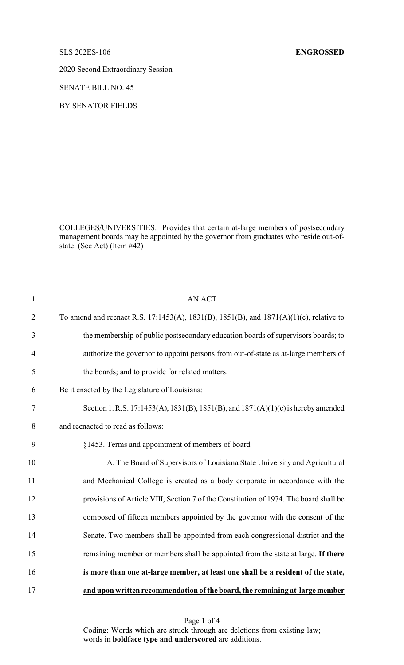2020 Second Extraordinary Session

SENATE BILL NO. 45

BY SENATOR FIELDS

COLLEGES/UNIVERSITIES. Provides that certain at-large members of postsecondary management boards may be appointed by the governor from graduates who reside out-ofstate. (See Act) (Item #42)

| $\mathbf{1}$   | <b>AN ACT</b>                                                                          |
|----------------|----------------------------------------------------------------------------------------|
| $\overline{2}$ | To amend and reenact R.S. 17:1453(A), 1831(B), 1851(B), and 1871(A)(1)(c), relative to |
| 3              | the membership of public postsecondary education boards of supervisors boards; to      |
| $\overline{4}$ | authorize the governor to appoint persons from out-of-state as at-large members of     |
| 5              | the boards; and to provide for related matters.                                        |
| 6              | Be it enacted by the Legislature of Louisiana:                                         |
| $\tau$         | Section 1. R.S. 17:1453(A), 1831(B), 1851(B), and 1871(A)(1)(c) is hereby amended      |
| 8              | and reenacted to read as follows:                                                      |
| 9              | §1453. Terms and appointment of members of board                                       |
| 10             | A. The Board of Supervisors of Louisiana State University and Agricultural             |
| 11             | and Mechanical College is created as a body corporate in accordance with the           |
| 12             | provisions of Article VIII, Section 7 of the Constitution of 1974. The board shall be  |
| 13             | composed of fifteen members appointed by the governor with the consent of the          |
| 14             | Senate. Two members shall be appointed from each congressional district and the        |
| 15             | remaining member or members shall be appointed from the state at large. If there       |
| 16             | is more than one at-large member, at least one shall be a resident of the state,       |
| 17             | and upon written recommendation of the board, the remaining at-large member            |

Page 1 of 4 Coding: Words which are struck through are deletions from existing law; words in **boldface type and underscored** are additions.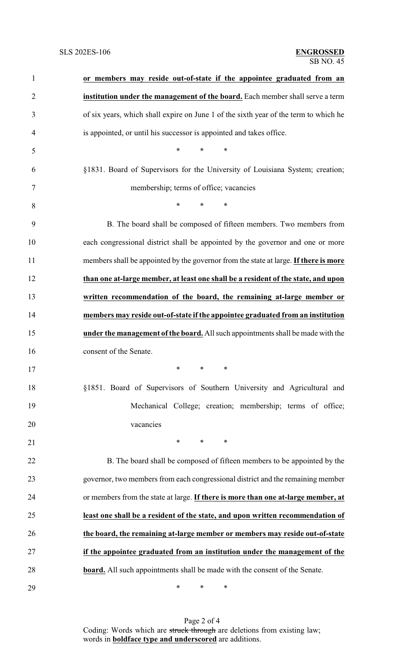| $\mathbf{1}$   | or members may reside out-of-state if the appointee graduated from an                |
|----------------|--------------------------------------------------------------------------------------|
| $\overline{2}$ | institution under the management of the board. Each member shall serve a term        |
| 3              | of six years, which shall expire on June 1 of the sixth year of the term to which he |
| 4              | is appointed, or until his successor is appointed and takes office.                  |
| 5              | *<br>$\ast$<br>∗                                                                     |
| 6              | §1831. Board of Supervisors for the University of Louisiana System; creation;        |
| $\tau$         | membership; terms of office; vacancies                                               |
| 8              | $*$<br>$\ast$<br>∗                                                                   |
| 9              | B. The board shall be composed of fifteen members. Two members from                  |
| 10             | each congressional district shall be appointed by the governor and one or more       |
| 11             | members shall be appointed by the governor from the state at large. If there is more |
| 12             | than one at-large member, at least one shall be a resident of the state, and upon    |
| 13             | written recommendation of the board, the remaining at-large member or                |
| 14             | members may reside out-of-state if the appointee graduated from an institution       |
| 15             | under the management of the board. All such appointments shall be made with the      |
| 16             | consent of the Senate.                                                               |
| 17             | $\ast$<br>∗<br>∗                                                                     |
| 18             | §1851. Board of Supervisors of Southern University and Agricultural and              |
| 19             | Mechanical College; creation; membership; terms of office;                           |
| 20             | vacancies                                                                            |
| 21             | $\ast$<br>$\ast$<br>∗                                                                |
| 22             | B. The board shall be composed of fifteen members to be appointed by the             |
| 23             | governor, two members from each congressional district and the remaining member      |
| 24             | or members from the state at large. If there is more than one at-large member, at    |
| 25             | least one shall be a resident of the state, and upon written recommendation of       |
| 26             | the board, the remaining at-large member or members may reside out-of-state          |
| 27             | if the appointee graduated from an institution under the management of the           |
| 28             | <b>board.</b> All such appointments shall be made with the consent of the Senate.    |
| 29             | $\ast$<br>∗<br>∗                                                                     |

Page 2 of 4 Coding: Words which are struck through are deletions from existing law; words in **boldface type and underscored** are additions.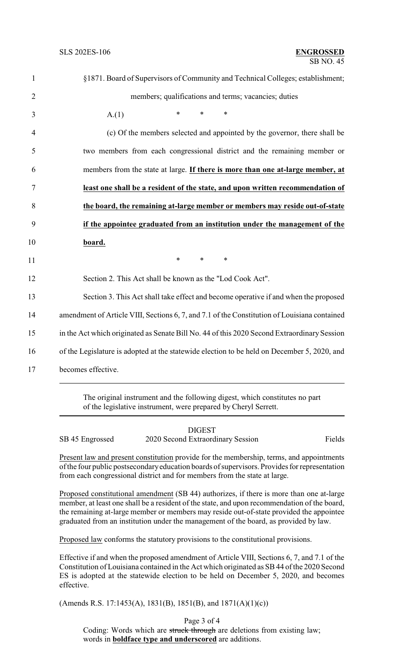| $\mathbf{1}$             | §1871. Board of Supervisors of Community and Technical Colleges; establishment;              |  |  |
|--------------------------|----------------------------------------------------------------------------------------------|--|--|
| $\overline{2}$           | members; qualifications and terms; vacancies; duties                                         |  |  |
| 3                        | $\ast$<br>*<br>$\ast$<br>A(1)                                                                |  |  |
| $\overline{4}$           | (c) Of the members selected and appointed by the governor, there shall be                    |  |  |
| 5                        | two members from each congressional district and the remaining member or                     |  |  |
| 6                        | members from the state at large. If there is more than one at-large member, at               |  |  |
| 7                        | least one shall be a resident of the state, and upon written recommendation of               |  |  |
| 8                        | the board, the remaining at-large member or members may reside out-of-state                  |  |  |
| 9                        | if the appointee graduated from an institution under the management of the                   |  |  |
| 10                       | board.                                                                                       |  |  |
| 11                       | $\ast$<br>$\ast$<br>$\ast$                                                                   |  |  |
| 12                       | Section 2. This Act shall be known as the "Lod Cook Act".                                    |  |  |
| 13                       | Section 3. This Act shall take effect and become operative if and when the proposed          |  |  |
| 14                       | amendment of Article VIII, Sections 6, 7, and 7.1 of the Constitution of Louisiana contained |  |  |
| 15                       | in the Act which originated as Senate Bill No. 44 of this 2020 Second Extraordinary Session  |  |  |
| 16                       | of the Legislature is adopted at the statewide election to be held on December 5, 2020, and  |  |  |
| 17<br>becomes effective. |                                                                                              |  |  |
|                          |                                                                                              |  |  |

The original instrument and the following digest, which constitutes no part of the legislative instrument, were prepared by Cheryl Serrett.

|                 | <b>DIGEST</b>                     |        |
|-----------------|-----------------------------------|--------|
| SB 45 Engrossed | 2020 Second Extraordinary Session | Fields |

Present law and present constitution provide for the membership, terms, and appointments of the four public postsecondary education boards of supervisors. Provides for representation from each congressional district and for members from the state at large.

Proposed constitutional amendment (SB 44) authorizes, if there is more than one at-large member, at least one shall be a resident of the state, and upon recommendation of the board, the remaining at-large member or members may reside out-of-state provided the appointee graduated from an institution under the management of the board, as provided by law.

Proposed law conforms the statutory provisions to the constitutional provisions.

Effective if and when the proposed amendment of Article VIII, Sections 6, 7, and 7.1 of the Constitution of Louisiana contained in the Act which originated as SB44 of the 2020 Second ES is adopted at the statewide election to be held on December 5, 2020, and becomes effective.

(Amends R.S. 17:1453(A), 1831(B), 1851(B), and 1871(A)(1)(c))

Page 3 of 4

Coding: Words which are struck through are deletions from existing law; words in **boldface type and underscored** are additions.